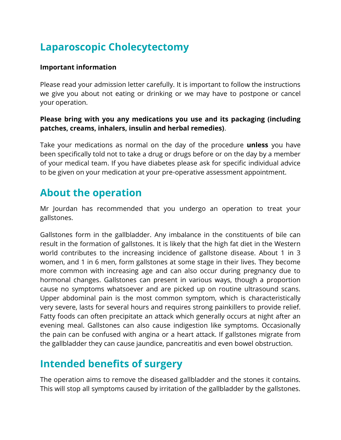# **Laparoscopic Cholecytectomy**

#### **Important information**

Please read your admission letter carefully. It is important to follow the instructions we give you about not eating or drinking or we may have to postpone or cancel your operation.

### **Please bring with you any medications you use and its packaging (including patches, creams, inhalers, insulin and herbal remedies)**.

Take your medications as normal on the day of the procedure **unless** you have been specifically told not to take a drug or drugs before or on the day by a member of your medical team. If you have diabetes please ask for specific individual advice to be given on your medication at your pre-operative assessment appointment.

## **About the operation**

Mr Jourdan has recommended that you undergo an operation to treat your gallstones.

Gallstones form in the gallbladder. Any imbalance in the constituents of bile can result in the formation of gallstones. It is likely that the high fat diet in the Western world contributes to the increasing incidence of gallstone disease. About 1 in 3 women, and 1 in 6 men, form gallstones at some stage in their lives. They become more common with increasing age and can also occur during pregnancy due to hormonal changes. Gallstones can present in various ways, though a proportion cause no symptoms whatsoever and are picked up on routine ultrasound scans. Upper abdominal pain is the most common symptom, which is characteristically very severe, lasts for several hours and requires strong painkillers to provide relief. Fatty foods can often precipitate an attack which generally occurs at night after an evening meal. Gallstones can also cause indigestion like symptoms. Occasionally the pain can be confused with angina or a heart attack. If gallstones migrate from the gallbladder they can cause jaundice, pancreatitis and even bowel obstruction.

# **Intended benefits of surgery**

The operation aims to remove the diseased gallbladder and the stones it contains. This will stop all symptoms caused by irritation of the gallbladder by the gallstones.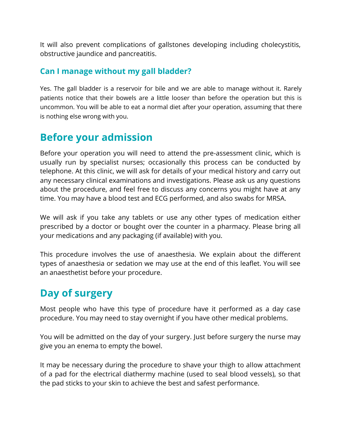It will also prevent complications of gallstones developing including cholecystitis, obstructive jaundice and pancreatitis.

### **Can I manage without my gall bladder?**

Yes. The gall bladder is a reservoir for bile and we are able to manage without it. Rarely patients notice that their bowels are a little looser than before the operation but this is uncommon. You will be able to eat a normal diet after your operation, assuming that there is nothing else wrong with you.

## **Before your admission**

Before your operation you will need to attend the pre-assessment clinic, which is usually run by specialist nurses; occasionally this process can be conducted by telephone. At this clinic, we will ask for details of your medical history and carry out any necessary clinical examinations and investigations. Please ask us any questions about the procedure, and feel free to discuss any concerns you might have at any time. You may have a blood test and ECG performed, and also swabs for MRSA.

We will ask if you take any tablets or use any other types of medication either prescribed by a doctor or bought over the counter in a pharmacy. Please bring all your medications and any packaging (if available) with you.

This procedure involves the use of anaesthesia. We explain about the different types of anaesthesia or sedation we may use at the end of this leaflet. You will see an anaesthetist before your procedure.

# **Day of surgery**

Most people who have this type of procedure have it performed as a day case procedure. You may need to stay overnight if you have other medical problems.

You will be admitted on the day of your surgery. Just before surgery the nurse may give you an enema to empty the bowel.

It may be necessary during the procedure to shave your thigh to allow attachment of a pad for the electrical diathermy machine (used to seal blood vessels), so that the pad sticks to your skin to achieve the best and safest performance.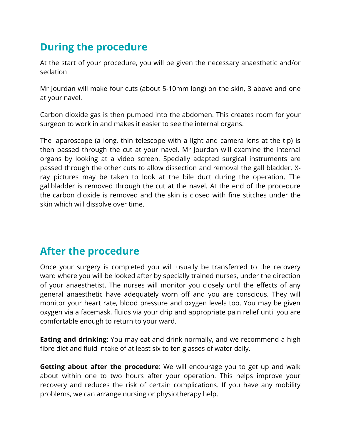# **During the procedure**

At the start of your procedure, you will be given the necessary anaesthetic and/or sedation

Mr Jourdan will make four cuts (about 5-10mm long) on the skin, 3 above and one at your navel.

Carbon dioxide gas is then pumped into the abdomen. This creates room for your surgeon to work in and makes it easier to see the internal organs.

The laparoscope (a long, thin telescope with a light and camera lens at the tip) is then passed through the cut at your navel. Mr Jourdan will examine the internal organs by looking at a video screen. Specially adapted surgical instruments are passed through the other cuts to allow dissection and removal the gall bladder. Xray pictures may be taken to look at the bile duct during the operation. The gallbladder is removed through the cut at the navel. At the end of the procedure the carbon dioxide is removed and the skin is closed with fine stitches under the skin which will dissolve over time.

## **After the procedure**

Once your surgery is completed you will usually be transferred to the recovery ward where you will be looked after by specially trained nurses, under the direction of your anaesthetist. The nurses will monitor you closely until the effects of any general anaesthetic have adequately worn off and you are conscious. They will monitor your heart rate, blood pressure and oxygen levels too. You may be given oxygen via a facemask, fluids via your drip and appropriate pain relief until you are comfortable enough to return to your ward.

**Eating and drinking**: You may eat and drink normally, and we recommend a high fibre diet and fluid intake of at least six to ten glasses of water daily.

**Getting about after the procedure**: We will encourage you to get up and walk about within one to two hours after your operation. This helps improve your recovery and reduces the risk of certain complications. If you have any mobility problems, we can arrange nursing or physiotherapy help.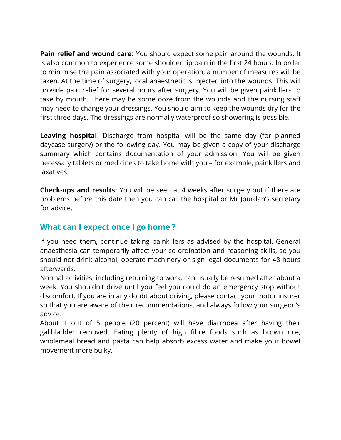**Pain relief and wound care:** You should expect some pain around the wounds. It is also common to experience some shoulder tip pain in the first 24 hours. In order to minimise the pain associated with your operation, a number of measures will be taken. At the time of surgery, local anaesthetic is injected into the wounds. This will provide pain relief for several hours after surgery. You will be given painkillers to take by mouth. There may be some ooze from the wounds and the nursing staff may need to change your dressings. You should aim to keep the wounds dry for the first three days. The dressings are normally waterproof so showering is possible.

**Leaving hospital**. Discharge from hospital will be the same day (for planned daycase surgery) or the following day. You may be given a copy of your discharge summary which contains documentation of your admission. You will be given necessary tablets or medicines to take home with you – for example, painkillers and laxatives.

**Check-ups and results:** You will be seen at 4 weeks after surgery but if there are problems before this date then you can call the hospital or Mr Jourdan's secretary for advice.

## **What can I expect once I go home ?**

If you need them, continue taking painkillers as advised by the hospital. General anaesthesia can temporarily affect your co-ordination and reasoning skills, so you should not drink alcohol, operate machinery or sign legal documents for 48 hours afterwards.

Normal activities, including returning to work, can usually be resumed after about a week. You shouldn't drive until you feel you could do an emergency stop without discomfort. If you are in any doubt about driving, please contact your motor insurer so that you are aware of their recommendations, and always follow your surgeon's advice.

About 1 out of 5 people (20 percent) will have diarrhoea after having their gallbladder removed. Eating plenty of high fibre foods such as brown rice, wholemeal bread and pasta can help absorb excess water and make your bowel movement more bulky.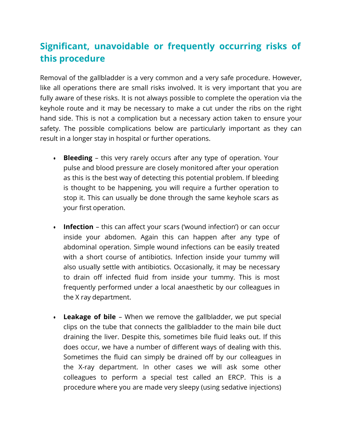## **Significant, unavoidable or frequently occurring risks of this procedure**

Removal of the gallbladder is a very common and a very safe procedure. However, like all operations there are small risks involved. It is very important that you are fully aware of these risks. It is not always possible to complete the operation via the keyhole route and it may be necessary to make a cut under the ribs on the right hand side. This is not a complication but a necessary action taken to ensure your safety. The possible complications below are particularly important as they can result in a longer stay in hospital or further operations.

- **Bleeding**  this very rarely occurs after any type of operation. Your pulse and blood pressure are closely monitored after your operation as this is the best way of detecting this potential problem. If bleeding is thought to be happening, you will require a further operation to stop it. This can usually be done through the same keyhole scars as your first operation.
- **Infection**  this can affect your scars ('wound infection') or can occur inside your abdomen. Again this can happen after any type of abdominal operation. Simple wound infections can be easily treated with a short course of antibiotics. Infection inside your tummy will also usually settle with antibiotics. Occasionally, it may be necessary to drain off infected fluid from inside your tummy. This is most frequently performed under a local anaesthetic by our colleagues in the X ray department.
- **Leakage of bile**  When we remove the gallbladder, we put special clips on the tube that connects the gallbladder to the main bile duct draining the liver. Despite this, sometimes bile fluid leaks out. If this does occur, we have a number of different ways of dealing with this. Sometimes the fluid can simply be drained off by our colleagues in the X-ray department. In other cases we will ask some other colleagues to perform a special test called an ERCP. This is a procedure where you are made very sleepy (using sedative injections)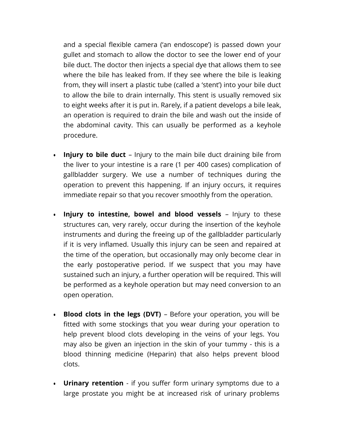and a special flexible camera ('an endoscope') is passed down your gullet and stomach to allow the doctor to see the lower end of your bile duct. The doctor then injects a special dye that allows them to see where the bile has leaked from. If they see where the bile is leaking from, they will insert a plastic tube (called a 'stent') into your bile duct to allow the bile to drain internally. This stent is usually removed six to eight weeks after it is put in. Rarely, if a patient develops a bile leak, an operation is required to drain the bile and wash out the inside of the abdominal cavity. This can usually be performed as a keyhole procedure.

- **Injury to bile duct** Injury to the main bile duct draining bile from the liver to your intestine is a rare (1 per 400 cases) complication of gallbladder surgery. We use a number of techniques during the operation to prevent this happening. If an injury occurs, it requires immediate repair so that you recover smoothly from the operation.
- **Injury to intestine, bowel and blood vessels**  Injury to these structures can, very rarely, occur during the insertion of the keyhole instruments and during the freeing up of the gallbladder particularly if it is very inflamed. Usually this injury can be seen and repaired at the time of the operation, but occasionally may only become clear in the early postoperative period. If we suspect that you may have sustained such an injury, a further operation will be required. This will be performed as a keyhole operation but may need conversion to an open operation.
- **Blood clots in the legs (DVT)**  Before your operation, you will be fitted with some stockings that you wear during your operation to help prevent blood clots developing in the veins of your legs. You may also be given an injection in the skin of your tummy - this is a blood thinning medicine (Heparin) that also helps prevent blood clots.
- **Urinary retention** if you suffer form urinary symptoms due to a large prostate you might be at increased risk of urinary problems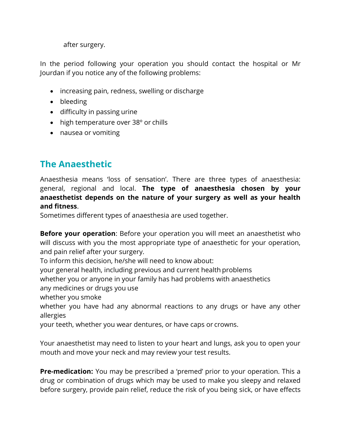after surgery.

In the period following your operation you should contact the hospital or Mr Jourdan if you notice any of the following problems:

- increasing pain, redness, swelling or discharge
- bleeding
- difficulty in passing urine
- high temperature over 38° or chills
- nausea or vomiting

## **The Anaesthetic**

Anaesthesia means 'loss of sensation'. There are three types of anaesthesia: general, regional and local. **The type of anaesthesia chosen by your anaesthetist depends on the nature of your surgery as well as your health and fitness**.

Sometimes different types of anaesthesia are used together.

**Before your operation**: Before your operation you will meet an anaesthetist who will discuss with you the most appropriate type of anaesthetic for your operation, and pain relief after your surgery.

To inform this decision, he/she will need to know about:

your general health, including previous and current health problems

whether you or anyone in your family has had problems with anaesthetics

any medicines or drugs you use

whether you smoke

whether you have had any abnormal reactions to any drugs or have any other allergies

your teeth, whether you wear dentures, or have caps or crowns.

Your anaesthetist may need to listen to your heart and lungs, ask you to open your mouth and move your neck and may review your test results.

**Pre-medication:** You may be prescribed a 'premed' prior to your operation. This a drug or combination of drugs which may be used to make you sleepy and relaxed before surgery, provide pain relief, reduce the risk of you being sick, or have effects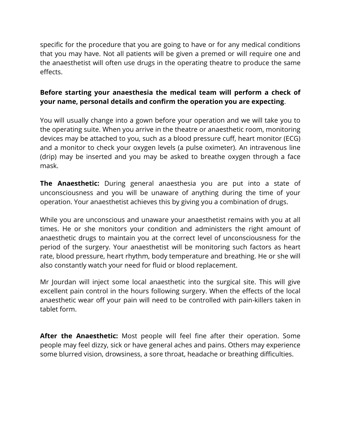specific for the procedure that you are going to have or for any medical conditions that you may have. Not all patients will be given a premed or will require one and the anaesthetist will often use drugs in the operating theatre to produce the same effects.

### **Before starting your anaesthesia the medical team will perform a check of your name, personal details and confirm the operation you are expecting**.

You will usually change into a gown before your operation and we will take you to the operating suite. When you arrive in the theatre or anaesthetic room, monitoring devices may be attached to you, such as a blood pressure cuff, heart monitor (ECG) and a monitor to check your oxygen levels (a pulse oximeter). An intravenous line (drip) may be inserted and you may be asked to breathe oxygen through a face mask.

**The Anaesthetic:** During general anaesthesia you are put into a state of unconsciousness and you will be unaware of anything during the time of your operation. Your anaesthetist achieves this by giving you a combination of drugs.

While you are unconscious and unaware your anaesthetist remains with you at all times. He or she monitors your condition and administers the right amount of anaesthetic drugs to maintain you at the correct level of unconsciousness for the period of the surgery. Your anaesthetist will be monitoring such factors as heart rate, blood pressure, heart rhythm, body temperature and breathing. He or she will also constantly watch your need for fluid or blood replacement.

Mr Jourdan will inject some local anaesthetic into the surgical site. This will give excellent pain control in the hours following surgery. When the effects of the local anaesthetic wear off your pain will need to be controlled with pain-killers taken in tablet form.

**After the Anaesthetic:** Most people will feel fine after their operation. Some people may feel dizzy, sick or have general aches and pains. Others may experience some blurred vision, drowsiness, a sore throat, headache or breathing difficulties.